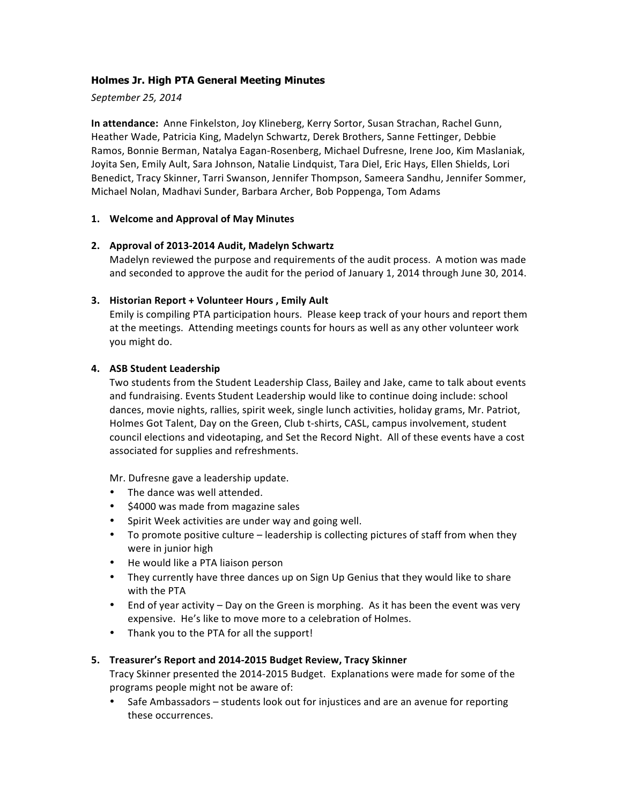## **Holmes Jr. High PTA General Meeting Minutes**

*September 25, 2014*

**In attendance:** Anne Finkelston, Joy Klineberg, Kerry Sortor, Susan Strachan, Rachel Gunn, Heather Wade, Patricia King, Madelyn Schwartz, Derek Brothers, Sanne Fettinger, Debbie Ramos, Bonnie Berman, Natalya Eagan-Rosenberg, Michael Dufresne, Irene Joo, Kim Maslaniak, Joyita Sen, Emily Ault, Sara Johnson, Natalie Lindquist, Tara Diel, Eric Hays, Ellen Shields, Lori Benedict, Tracy Skinner, Tarri Swanson, Jennifer Thompson, Sameera Sandhu, Jennifer Sommer, Michael Nolan, Madhavi Sunder, Barbara Archer, Bob Poppenga, Tom Adams

#### 1. Welcome and Approval of May Minutes

#### 2. Approval of 2013-2014 Audit, Madelyn Schwartz

Madelyn reviewed the purpose and requirements of the audit process. A motion was made and seconded to approve the audit for the period of January 1, 2014 through June 30, 2014.

#### **3.** Historian Report + Volunteer Hours, Emily Ault

Emily is compiling PTA participation hours. Please keep track of your hours and report them at the meetings. Attending meetings counts for hours as well as any other volunteer work you might do.

#### **4.** ASB Student Leadership

Two students from the Student Leadership Class, Bailey and Jake, came to talk about events and fundraising. Events Student Leadership would like to continue doing include: school dances, movie nights, rallies, spirit week, single lunch activities, holiday grams, Mr. Patriot, Holmes Got Talent, Day on the Green, Club t-shirts, CASL, campus involvement, student council elections and videotaping, and Set the Record Night. All of these events have a cost associated for supplies and refreshments.

Mr. Dufresne gave a leadership update.

- The dance was well attended.
- \$4000 was made from magazine sales
- Spirit Week activities are under way and going well.
- To promote positive culture leadership is collecting pictures of staff from when they were in junior high
- He would like a PTA liaison person
- They currently have three dances up on Sign Up Genius that they would like to share with the PTA
- End of year activity Day on the Green is morphing. As it has been the event was very expensive. He's like to move more to a celebration of Holmes.
- Thank you to the PTA for all the support!

#### **5. Treasurer's Report and 2014-2015 Budget Review, Tracy Skinner**

Tracy Skinner presented the 2014-2015 Budget. Explanations were made for some of the programs people might not be aware of:

• Safe Ambassadors – students look out for injustices and are an avenue for reporting these occurrences.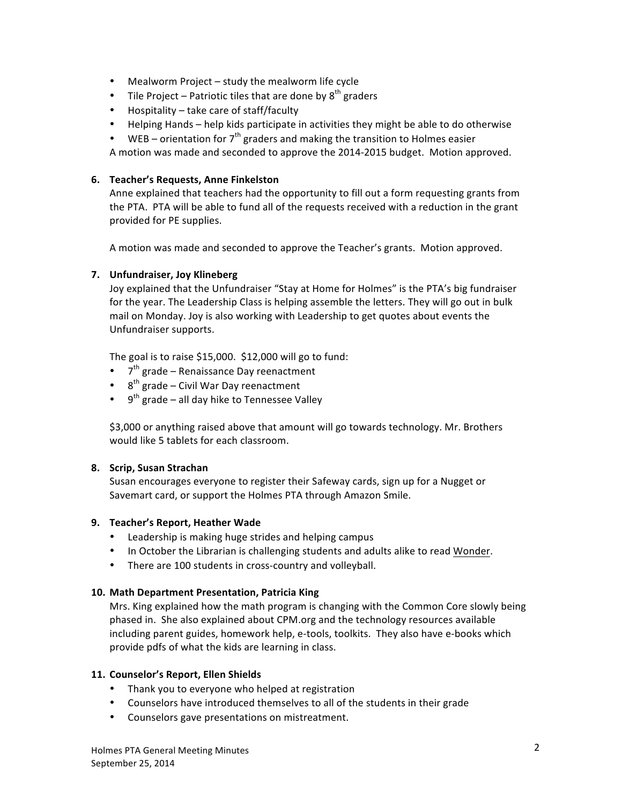- Mealworm Project  $-$  study the mealworm life cycle
- Tile Project Patriotic tiles that are done by  $8^{th}$  graders
- $\bullet$  Hospitality take care of staff/faculty
- Helping Hands help kids participate in activities they might be able to do otherwise
- WEB orientation for  $7<sup>th</sup>$  graders and making the transition to Holmes easier

A motion was made and seconded to approve the 2014-2015 budget. Motion approved.

## **6. Teacher's Requests, Anne Finkelston**

Anne explained that teachers had the opportunity to fill out a form requesting grants from the PTA. PTA will be able to fund all of the requests received with a reduction in the grant provided for PE supplies.

A motion was made and seconded to approve the Teacher's grants. Motion approved.

# **7. Unfundraiser, Joy Klineberg**

Joy explained that the Unfundraiser "Stay at Home for Holmes" is the PTA's big fundraiser for the year. The Leadership Class is helping assemble the letters. They will go out in bulk mail on Monday. Joy is also working with Leadership to get quotes about events the Unfundraiser supports.

The goal is to raise  $$15,000. $12,000$  will go to fund:

- $7<sup>th</sup>$  grade Renaissance Day reenactment
- $8^{th}$  grade Civil War Day reenactment
- $9^{th}$  grade all day hike to Tennessee Valley

\$3,000 or anything raised above that amount will go towards technology. Mr. Brothers would like 5 tablets for each classroom.

#### **8. Scrip, Susan Strachan**

Susan encourages everyone to register their Safeway cards, sign up for a Nugget or Savemart card, or support the Holmes PTA through Amazon Smile.

#### **9. Teacher's Report, Heather Wade**

- Leadership is making huge strides and helping campus
- In October the Librarian is challenging students and adults alike to read Wonder.
- There are 100 students in cross-country and volleyball.

#### **10. Math Department Presentation, Patricia King**

Mrs. King explained how the math program is changing with the Common Core slowly being phased in. She also explained about CPM.org and the technology resources available including parent guides, homework help, e-tools, toolkits. They also have e-books which provide pdfs of what the kids are learning in class.

#### 11. **Counselor's Report, Ellen Shields**

- Thank you to everyone who helped at registration
- Counselors have introduced themselves to all of the students in their grade
- Counselors gave presentations on mistreatment.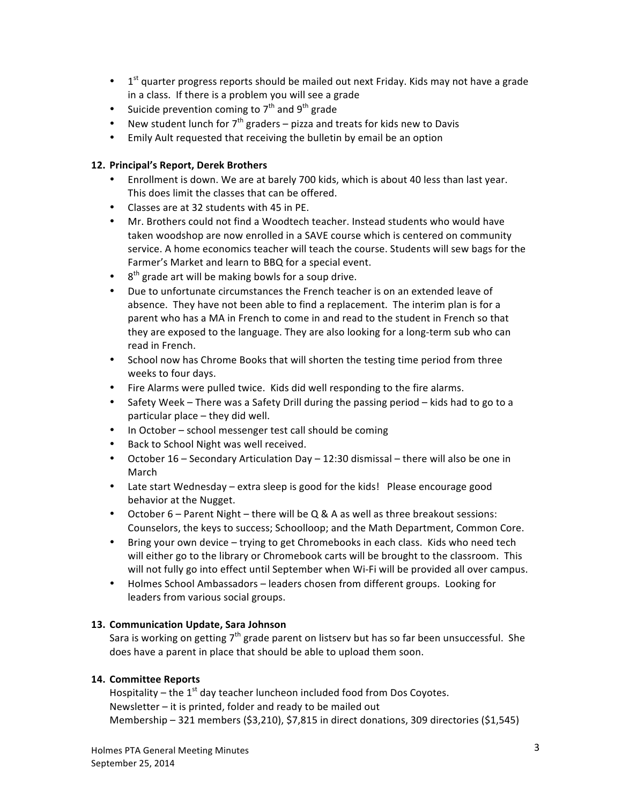- $1<sup>st</sup>$  quarter progress reports should be mailed out next Friday. Kids may not have a grade in a class. If there is a problem you will see a grade
- Suicide prevention coming to  $7<sup>th</sup>$  and  $9<sup>th</sup>$  grade
- New student lunch for  $7<sup>th</sup>$  graders pizza and treats for kids new to Davis
- Emily Ault requested that receiving the bulletin by email be an option

#### **12. Principal's Report, Derek Brothers**

- Enrollment is down. We are at barely 700 kids, which is about 40 less than last year. This does limit the classes that can be offered.
- Classes are at 32 students with 45 in PE.
- Mr. Brothers could not find a Woodtech teacher. Instead students who would have taken woodshop are now enrolled in a SAVE course which is centered on community service. A home economics teacher will teach the course. Students will sew bags for the Farmer's Market and learn to BBQ for a special event.
- $\bullet$  8<sup>th</sup> grade art will be making bowls for a soup drive.
- Due to unfortunate circumstances the French teacher is on an extended leave of absence. They have not been able to find a replacement. The interim plan is for a parent who has a MA in French to come in and read to the student in French so that they are exposed to the language. They are also looking for a long-term sub who can read in French.
- School now has Chrome Books that will shorten the testing time period from three weeks to four days.
- Fire Alarms were pulled twice. Kids did well responding to the fire alarms.
- Safety Week There was a Safety Drill during the passing period kids had to go to a particular place  $-$  they did well.
- In October school messenger test call should be coming
- Back to School Night was well received.
- October  $16 -$  Secondary Articulation Day  $12:30$  dismissal  $-$  there will also be one in March
- Late start Wednesday extra sleep is good for the kids! Please encourage good behavior at the Nugget.
- October  $6 -$  Parent Night  $-$  there will be Q & A as well as three breakout sessions: Counselors, the keys to success; Schoolloop; and the Math Department, Common Core.
- Bring your own device trying to get Chromebooks in each class. Kids who need tech will either go to the library or Chromebook carts will be brought to the classroom. This will not fully go into effect until September when Wi-Fi will be provided all over campus.
- Holmes School Ambassadors leaders chosen from different groups. Looking for leaders from various social groups.

#### **13. Communication Update, Sara Johnson**

Sara is working on getting  $7<sup>th</sup>$  grade parent on listserv but has so far been unsuccessful. She does have a parent in place that should be able to upload them soon.

# **14. Committee Reports**

Hospitality – the  $1<sup>st</sup>$  day teacher luncheon included food from Dos Coyotes. Newsletter  $-$  it is printed, folder and ready to be mailed out Membership  $-321$  members  $(53,210)$ ,  $57,815$  in direct donations, 309 directories  $(51,545)$